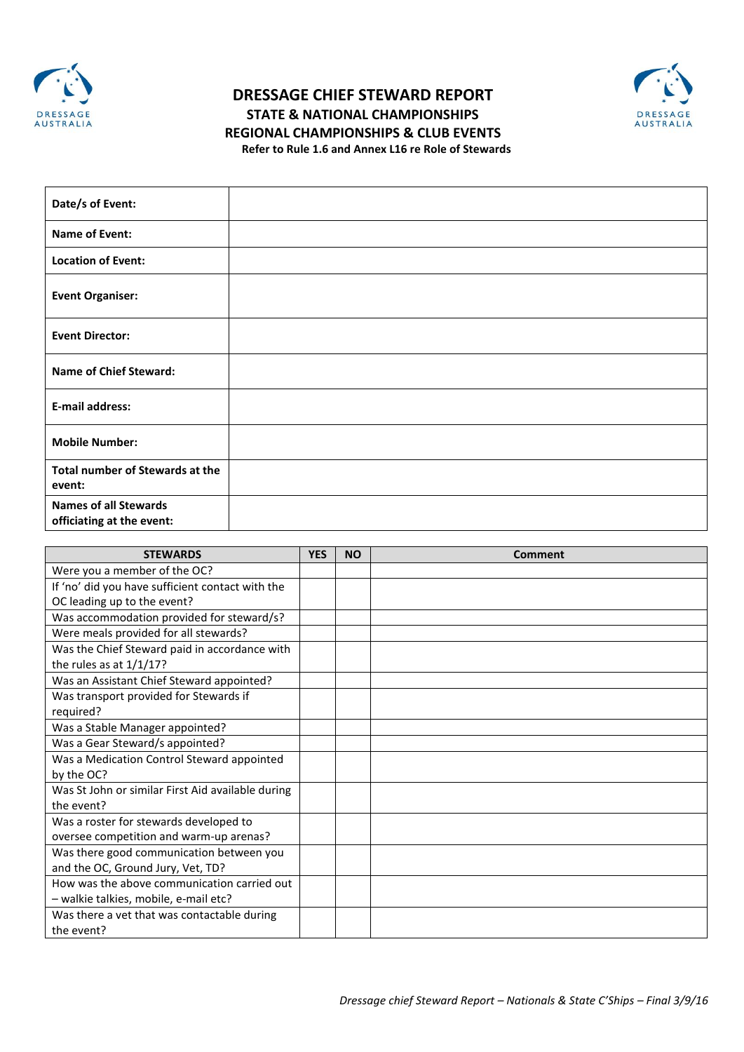

## **DRESSAGE CHIEF STEWARD REPORT STATE & NATIONAL CHAMPIONSHIPS REGIONAL CHAMPIONSHIPS & CLUB EVENTS Refer to Rule 1.6 and Annex L16 re Role of Stewards**



| Date/s of Event:                                          |  |
|-----------------------------------------------------------|--|
| <b>Name of Event:</b>                                     |  |
| <b>Location of Event:</b>                                 |  |
| <b>Event Organiser:</b>                                   |  |
| <b>Event Director:</b>                                    |  |
| <b>Name of Chief Steward:</b>                             |  |
| E-mail address:                                           |  |
| <b>Mobile Number:</b>                                     |  |
| <b>Total number of Stewards at the</b><br>event:          |  |
| <b>Names of all Stewards</b><br>officiating at the event: |  |

| <b>STEWARDS</b>                                   | <b>YES</b> | <b>NO</b> | Comment |
|---------------------------------------------------|------------|-----------|---------|
| Were you a member of the OC?                      |            |           |         |
| If 'no' did you have sufficient contact with the  |            |           |         |
| OC leading up to the event?                       |            |           |         |
| Was accommodation provided for steward/s?         |            |           |         |
| Were meals provided for all stewards?             |            |           |         |
| Was the Chief Steward paid in accordance with     |            |           |         |
| the rules as at $1/1/17$ ?                        |            |           |         |
| Was an Assistant Chief Steward appointed?         |            |           |         |
| Was transport provided for Stewards if            |            |           |         |
| required?                                         |            |           |         |
| Was a Stable Manager appointed?                   |            |           |         |
| Was a Gear Steward/s appointed?                   |            |           |         |
| Was a Medication Control Steward appointed        |            |           |         |
| by the OC?                                        |            |           |         |
| Was St John or similar First Aid available during |            |           |         |
| the event?                                        |            |           |         |
| Was a roster for stewards developed to            |            |           |         |
| oversee competition and warm-up arenas?           |            |           |         |
| Was there good communication between you          |            |           |         |
| and the OC, Ground Jury, Vet, TD?                 |            |           |         |
| How was the above communication carried out       |            |           |         |
| - walkie talkies, mobile, e-mail etc?             |            |           |         |
| Was there a vet that was contactable during       |            |           |         |
| the event?                                        |            |           |         |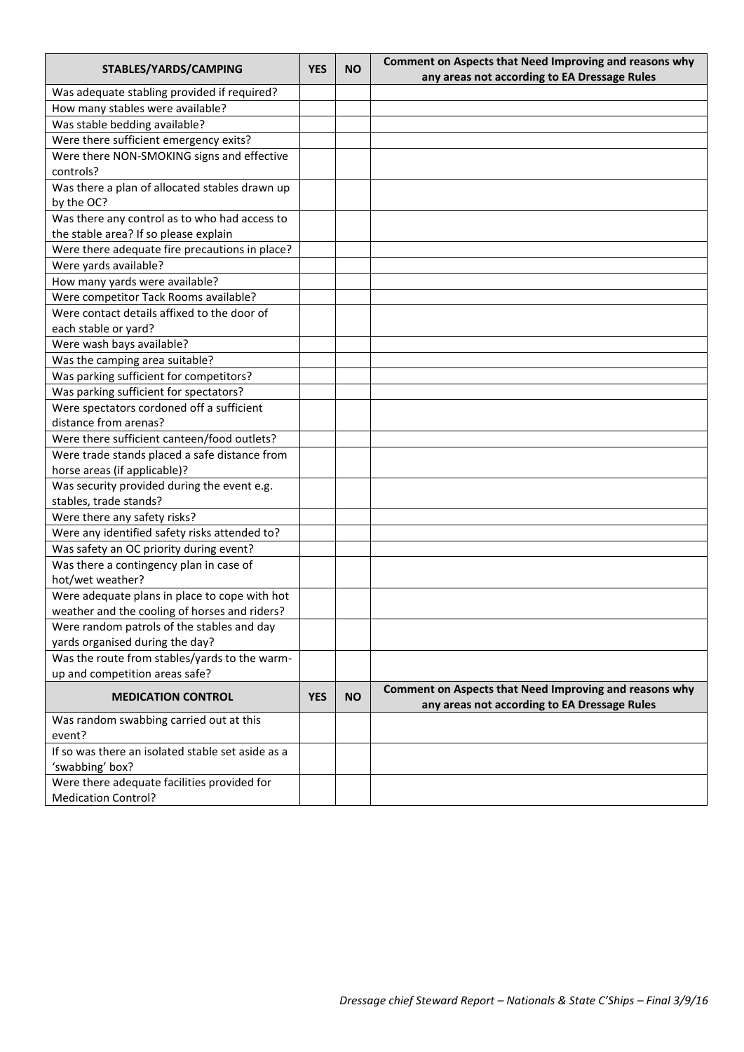| STABLES/YARDS/CAMPING                             | <b>YES</b> | <b>NO</b> | Comment on Aspects that Need Improving and reasons why<br>any areas not according to EA Dressage Rules |
|---------------------------------------------------|------------|-----------|--------------------------------------------------------------------------------------------------------|
| Was adequate stabling provided if required?       |            |           |                                                                                                        |
| How many stables were available?                  |            |           |                                                                                                        |
| Was stable bedding available?                     |            |           |                                                                                                        |
| Were there sufficient emergency exits?            |            |           |                                                                                                        |
| Were there NON-SMOKING signs and effective        |            |           |                                                                                                        |
| controls?                                         |            |           |                                                                                                        |
| Was there a plan of allocated stables drawn up    |            |           |                                                                                                        |
| by the OC?                                        |            |           |                                                                                                        |
| Was there any control as to who had access to     |            |           |                                                                                                        |
| the stable area? If so please explain             |            |           |                                                                                                        |
| Were there adequate fire precautions in place?    |            |           |                                                                                                        |
| Were yards available?                             |            |           |                                                                                                        |
| How many yards were available?                    |            |           |                                                                                                        |
| Were competitor Tack Rooms available?             |            |           |                                                                                                        |
| Were contact details affixed to the door of       |            |           |                                                                                                        |
| each stable or yard?                              |            |           |                                                                                                        |
| Were wash bays available?                         |            |           |                                                                                                        |
| Was the camping area suitable?                    |            |           |                                                                                                        |
| Was parking sufficient for competitors?           |            |           |                                                                                                        |
| Was parking sufficient for spectators?            |            |           |                                                                                                        |
| Were spectators cordoned off a sufficient         |            |           |                                                                                                        |
| distance from arenas?                             |            |           |                                                                                                        |
| Were there sufficient canteen/food outlets?       |            |           |                                                                                                        |
| Were trade stands placed a safe distance from     |            |           |                                                                                                        |
| horse areas (if applicable)?                      |            |           |                                                                                                        |
| Was security provided during the event e.g.       |            |           |                                                                                                        |
| stables, trade stands?                            |            |           |                                                                                                        |
| Were there any safety risks?                      |            |           |                                                                                                        |
| Were any identified safety risks attended to?     |            |           |                                                                                                        |
| Was safety an OC priority during event?           |            |           |                                                                                                        |
| Was there a contingency plan in case of           |            |           |                                                                                                        |
| hot/wet weather?                                  |            |           |                                                                                                        |
| Were adequate plans in place to cope with hot     |            |           |                                                                                                        |
| weather and the cooling of horses and riders?     |            |           |                                                                                                        |
| Were random patrols of the stables and day        |            |           |                                                                                                        |
| yards organised during the day?                   |            |           |                                                                                                        |
| Was the route from stables/yards to the warm-     |            |           |                                                                                                        |
| up and competition areas safe?                    |            |           |                                                                                                        |
| <b>MEDICATION CONTROL</b>                         | <b>YES</b> | <b>NO</b> | Comment on Aspects that Need Improving and reasons why<br>any areas not according to EA Dressage Rules |
| Was random swabbing carried out at this           |            |           |                                                                                                        |
| event?                                            |            |           |                                                                                                        |
| If so was there an isolated stable set aside as a |            |           |                                                                                                        |
| 'swabbing' box?                                   |            |           |                                                                                                        |
| Were there adequate facilities provided for       |            |           |                                                                                                        |
| <b>Medication Control?</b>                        |            |           |                                                                                                        |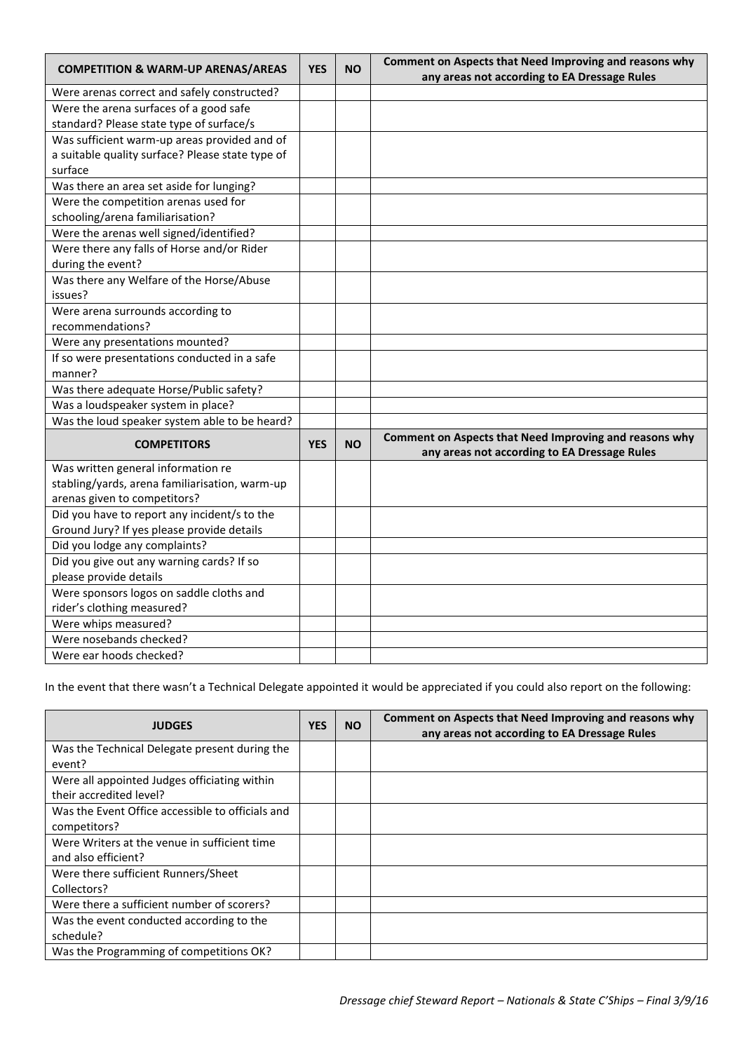| <b>COMPETITION &amp; WARM-UP ARENAS/AREAS</b>    | <b>YES</b> | <b>NO</b> | Comment on Aspects that Need Improving and reasons why |
|--------------------------------------------------|------------|-----------|--------------------------------------------------------|
|                                                  |            |           | any areas not according to EA Dressage Rules           |
| Were arenas correct and safely constructed?      |            |           |                                                        |
| Were the arena surfaces of a good safe           |            |           |                                                        |
| standard? Please state type of surface/s         |            |           |                                                        |
| Was sufficient warm-up areas provided and of     |            |           |                                                        |
| a suitable quality surface? Please state type of |            |           |                                                        |
| surface                                          |            |           |                                                        |
| Was there an area set aside for lunging?         |            |           |                                                        |
| Were the competition arenas used for             |            |           |                                                        |
| schooling/arena familiarisation?                 |            |           |                                                        |
| Were the arenas well signed/identified?          |            |           |                                                        |
| Were there any falls of Horse and/or Rider       |            |           |                                                        |
| during the event?                                |            |           |                                                        |
| Was there any Welfare of the Horse/Abuse         |            |           |                                                        |
| issues?                                          |            |           |                                                        |
| Were arena surrounds according to                |            |           |                                                        |
| recommendations?                                 |            |           |                                                        |
| Were any presentations mounted?                  |            |           |                                                        |
| If so were presentations conducted in a safe     |            |           |                                                        |
| manner?                                          |            |           |                                                        |
| Was there adequate Horse/Public safety?          |            |           |                                                        |
| Was a loudspeaker system in place?               |            |           |                                                        |
| Was the loud speaker system able to be heard?    |            |           |                                                        |
| <b>COMPETITORS</b>                               |            | <b>NO</b> | Comment on Aspects that Need Improving and reasons why |
|                                                  | <b>YES</b> |           | any areas not according to EA Dressage Rules           |
| Was written general information re               |            |           |                                                        |
| stabling/yards, arena familiarisation, warm-up   |            |           |                                                        |
| arenas given to competitors?                     |            |           |                                                        |
| Did you have to report any incident/s to the     |            |           |                                                        |
| Ground Jury? If yes please provide details       |            |           |                                                        |
| Did you lodge any complaints?                    |            |           |                                                        |
| Did you give out any warning cards? If so        |            |           |                                                        |
| please provide details                           |            |           |                                                        |
| Were sponsors logos on saddle cloths and         |            |           |                                                        |
| rider's clothing measured?                       |            |           |                                                        |
| Were whips measured?                             |            |           |                                                        |
| Were nosebands checked?                          |            |           |                                                        |
| Were ear hoods checked?                          |            |           |                                                        |

In the event that there wasn't a Technical Delegate appointed it would be appreciated if you could also report on the following:

| <b>JUDGES</b>                                    | <b>YES</b> | <b>NO</b> | Comment on Aspects that Need Improving and reasons why<br>any areas not according to EA Dressage Rules |
|--------------------------------------------------|------------|-----------|--------------------------------------------------------------------------------------------------------|
| Was the Technical Delegate present during the    |            |           |                                                                                                        |
| event?                                           |            |           |                                                                                                        |
| Were all appointed Judges officiating within     |            |           |                                                                                                        |
| their accredited level?                          |            |           |                                                                                                        |
| Was the Event Office accessible to officials and |            |           |                                                                                                        |
| competitors?                                     |            |           |                                                                                                        |
| Were Writers at the venue in sufficient time     |            |           |                                                                                                        |
| and also efficient?                              |            |           |                                                                                                        |
| Were there sufficient Runners/Sheet              |            |           |                                                                                                        |
| Collectors?                                      |            |           |                                                                                                        |
| Were there a sufficient number of scorers?       |            |           |                                                                                                        |
| Was the event conducted according to the         |            |           |                                                                                                        |
| schedule?                                        |            |           |                                                                                                        |
| Was the Programming of competitions OK?          |            |           |                                                                                                        |